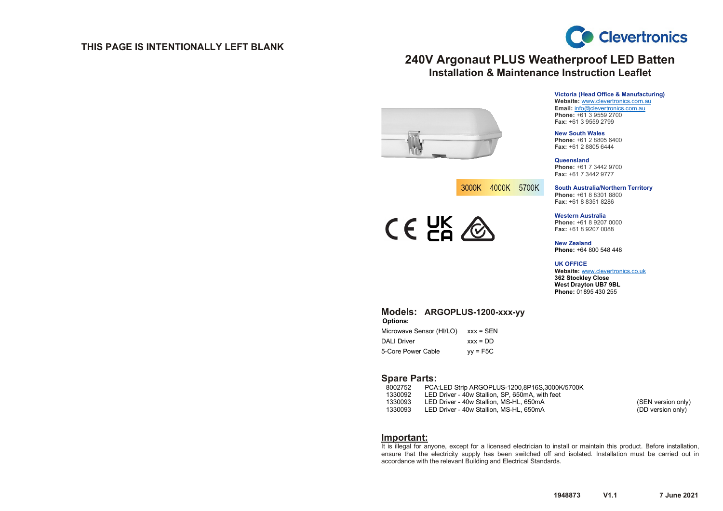### **THIS PAGE IS INTENTIONALLY LEFT BLANK**



### **240V Argonaut PLUS Weatherproof LED Batten Installation & Maintenance Instruction Leaflet**

#### **Victoria (Head Office & Manufacturing) Website:** [www.clevertronics.com.au](http://www.clevertronics.com.au/)

**Email:** info@clevertronics.com.au **Phone:** +61 3 9559 2700 **Fax:** +61 3 9559 2799

**New South Wales**

**Phone:** +61 2 8805 6400 **Fax:** +61 2 8805 6444

**Queensland Phone:** +61 7 3442 9700 **Fax:** +61 7 3442 9777

**South Australia/Northern Territory**

**Phone:** +61 8 8301 8800 **Fax:** +61 8 8351 8286

**Western Australia Phone:** +61 8 9207 0000 **Fax:** +61 8 9207 0088

**New Zealand Phone:** +64 800 548 448

**UK OFFICE Website:** [www.clevertronics.co.uk](http://www.clevertronics.co.uk/) **362 Stockley Close West Drayton UB7 9BL Phone:** 01895 430 255

3000K

4000K 5700K



## **Models: ARGOPLUS-1200-xxx-yy Options:**

| Microwave Sensor (HI/LO) | $xxx = SEM$ |
|--------------------------|-------------|
| <b>DALI Driver</b>       | $xxx = DD$  |
| 5-Core Power Cable       | $vy = F5C$  |

# **Spare Parts:**<br>8002752 PCA

8002752 PCA:LED Strip ARGOPLUS-1200,8P16S,3000K/5700K<br>1330092 LED Driver - 40w Stallion. SP. 650mA. with feet 1330092 LED Driver - 40w Stallion, SP, 650mA, with feet 1330093 LED Driver - 40w Stallion, MS-HL, 650mA<br>1330093 LED Driver - 40w Stallion, MS-HL, 650mA (DD version only) LED Driver - 40w Stallion, MS-HL, 650mA

#### **Important:**

It is illegal for anyone, except for a licensed electrician to install or maintain this product. Before installation, ensure that the electricity supply has been switched off and isolated. Installation must be carried out in accordance with the relevant Building and Electrical Standards.